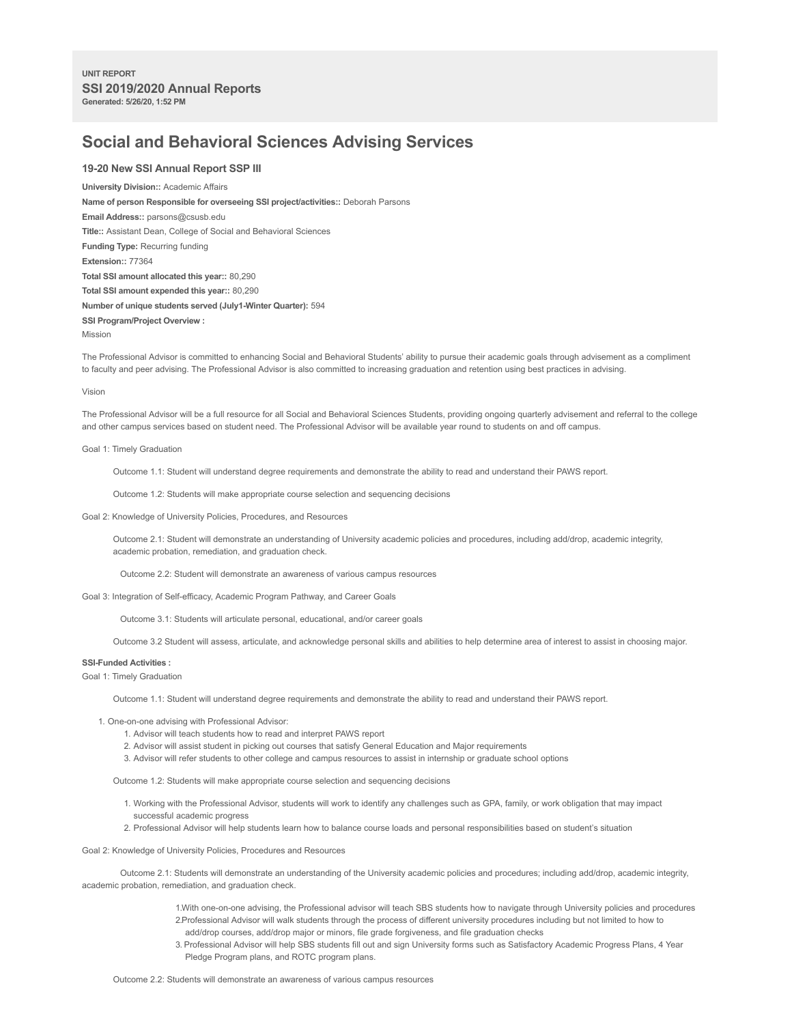# **Social and Behavioral Sciences Advising Services**

# **19-20 New SSI Annual Report SSP III**

**University Division::** Academic Affairs **Name of person Responsible for overseeing SSI project/activities::** Deborah Parsons **Email Address::** parsons@csusb.edu **Title::** Assistant Dean, College of Social and Behavioral Sciences **Funding Type:** Recurring funding **Extension::** 77364 **Total SSI amount allocated this year::** 80,290 **Total SSI amount expended this year::** 80,290 **Number of unique students served (July1-Winter Quarter):** 594 **SSI Program/Project Overview :** Mission

The Professional Advisor is committed to enhancing Social and Behavioral Students' ability to pursue their academic goals through advisement as a compliment to faculty and peer advising. The Professional Advisor is also committed to increasing graduation and retention using best practices in advising.

#### Vision

The Professional Advisor will be a full resource for all Social and Behavioral Sciences Students, providing ongoing quarterly advisement and referral to the college and other campus services based on student need. The Professional Advisor will be available year round to students on and off campus.

Goal 1: Timely Graduation

Outcome 1.1: Student will understand degree requirements and demonstrate the ability to read and understand their PAWS report.

Outcome 1.2: Students will make appropriate course selection and sequencing decisions

Goal 2: Knowledge of University Policies, Procedures, and Resources

Outcome 2.1: Student will demonstrate an understanding of University academic policies and procedures, including add/drop, academic integrity, academic probation, remediation, and graduation check.

Outcome 2.2: Student will demonstrate an awareness of various campus resources

Goal 3: Integration of Self-efficacy, Academic Program Pathway, and Career Goals

Outcome 3.1: Students will articulate personal, educational, and/or career goals

Outcome 3.2 Student will assess, articulate, and acknowledge personal skills and abilities to help determine area of interest to assist in choosing major.

## **SSI-Funded Activities :**

Goal 1: Timely Graduation

Outcome 1.1: Student will understand degree requirements and demonstrate the ability to read and understand their PAWS report.

- 1. One-on-one advising with Professional Advisor:
	- 1. Advisor will teach students how to read and interpret PAWS report
	- 2. Advisor will assist student in picking out courses that satisfy General Education and Major requirements
	- 3. Advisor will refer students to other college and campus resources to assist in internship or graduate school options

Outcome 1.2: Students will make appropriate course selection and sequencing decisions

- 1. Working with the Professional Advisor, students will work to identify any challenges such as GPA, family, or work obligation that may impact successful academic progress
- 2. Professional Advisor will help students learn how to balance course loads and personal responsibilities based on student's situation

Goal 2: Knowledge of University Policies, Procedures and Resources

Outcome 2.1: Students will demonstrate an understanding of the University academic policies and procedures; including add/drop, academic integrity, academic probation, remediation, and graduation check.

- 1.With one-on-one advising, the Professional advisor will teach SBS students how to navigate through University policies and procedures 2.Professional Advisor will walk students through the process of different university procedures including but not limited to how to add/drop courses, add/drop major or minors, file grade forgiveness, and file graduation checks
- 3. Professional Advisor will help SBS students fill out and sign University forms such as Satisfactory Academic Progress Plans, 4 Year Pledge Program plans, and ROTC program plans.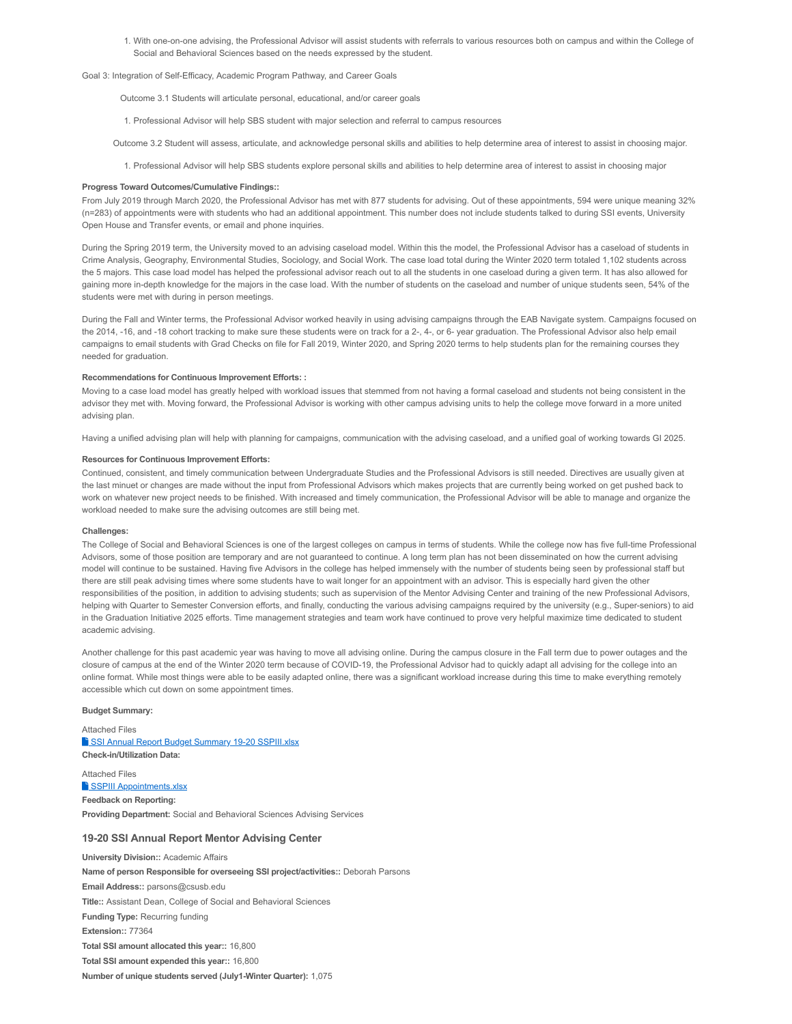1. With one-on-one advising, the Professional Advisor will assist students with referrals to various resources both on campus and within the College of Social and Behavioral Sciences based on the needs expressed by the student.

#### Goal 3: Integration of Self-Efficacy, Academic Program Pathway, and Career Goals

Outcome 3.1 Students will articulate personal, educational, and/or career goals

1. Professional Advisor will help SBS student with major selection and referral to campus resources

Outcome 3.2 Student will assess, articulate, and acknowledge personal skills and abilities to help determine area of interest to assist in choosing major.

1. Professional Advisor will help SBS students explore personal skills and abilities to help determine area of interest to assist in choosing major

#### **Progress Toward Outcomes/Cumulative Findings::**

From July 2019 through March 2020, the Professional Advisor has met with 877 students for advising. Out of these appointments, 594 were unique meaning 32% (n=283) of appointments were with students who had an additional appointment. This number does not include students talked to during SSI events, University Open House and Transfer events, or email and phone inquiries.

During the Spring 2019 term, the University moved to an advising caseload model. Within this the model, the Professional Advisor has a caseload of students in Crime Analysis, Geography, Environmental Studies, Sociology, and Social Work. The case load total during the Winter 2020 term totaled 1,102 students across the 5 majors. This case load model has helped the professional advisor reach out to all the students in one caseload during a given term. It has also allowed for gaining more in-depth knowledge for the majors in the case load. With the number of students on the caseload and number of unique students seen, 54% of the students were met with during in person meetings.

During the Fall and Winter terms, the Professional Advisor worked heavily in using advising campaigns through the EAB Navigate system. Campaigns focused on the 2014, -16, and -18 cohort tracking to make sure these students were on track for a 2-, 4-, or 6- year graduation. The Professional Advisor also help email campaigns to email students with Grad Checks on file for Fall 2019, Winter 2020, and Spring 2020 terms to help students plan for the remaining courses they needed for graduation.

#### **Recommendations for Continuous Improvement Efforts: :**

Moving to a case load model has greatly helped with workload issues that stemmed from not having a formal caseload and students not being consistent in the advisor they met with. Moving forward, the Professional Advisor is working with other campus advising units to help the college move forward in a more united advising plan.

Having a unified advising plan will help with planning for campaigns, communication with the advising caseload, and a unified goal of working towards GI 2025.

#### **Resources for Continuous Improvement Efforts:**

Continued, consistent, and timely communication between Undergraduate Studies and the Professional Advisors is still needed. Directives are usually given at the last minuet or changes are made without the input from Professional Advisors which makes projects that are currently being worked on get pushed back to work on whatever new project needs to be finished. With increased and timely communication, the Professional Advisor will be able to manage and organize the workload needed to make sure the advising outcomes are still being met.

#### **Challenges:**

The College of Social and Behavioral Sciences is one of the largest colleges on campus in terms of students. While the college now has five full-time Professional Advisors, some of those position are temporary and are not guaranteed to continue. A long term plan has not been disseminated on how the current advising model will continue to be sustained. Having five Advisors in the college has helped immensely with the number of students being seen by professional staff but there are still peak advising times where some students have to wait longer for an appointment with an advisor. This is especially hard given the other responsibilities of the position, in addition to advising students; such as supervision of the Mentor Advising Center and training of the new Professional Advisors, helping with Quarter to Semester Conversion efforts, and finally, conducting the various advising campaigns required by the university (e.g., Super-seniors) to aid in the Graduation Initiative 2025 efforts. Time management strategies and team work have continued to prove very helpful maximize time dedicated to student academic advising.

Another challenge for this past academic year was having to move all advising online. During the campus closure in the Fall term due to power outages and the closure of campus at the end of the Winter 2020 term because of COVID-19, the Professional Advisor had to quickly adapt all advising for the college into an online format. While most things were able to be easily adapted online, there was a significant workload increase during this time to make everything remotely accessible which cut down on some appointment times.

## **Budget Summary:**

Attached Files SSI Annual Report Budget Summary 19-20 SSPIII.xlsx **Check-in/Utilization Data:** Attached Files

**SSPIII Appointments.xlsx Feedback on Reporting: Providing Department:** Social and Behavioral Sciences Advising Services

## **19-20 SSI Annual Report Mentor Advising Center**

**University Division::** Academic Affairs **Name of person Responsible for overseeing SSI project/activities::** Deborah Parsons **Email Address::** parsons@csusb.edu **Title::** Assistant Dean, College of Social and Behavioral Sciences **Funding Type:** Recurring funding **Extension::** 77364 **Total SSI amount allocated this year::** 16,800 **Total SSI amount expended this year::** 16,800 **Number of unique students served (July1-Winter Quarter):** 1,075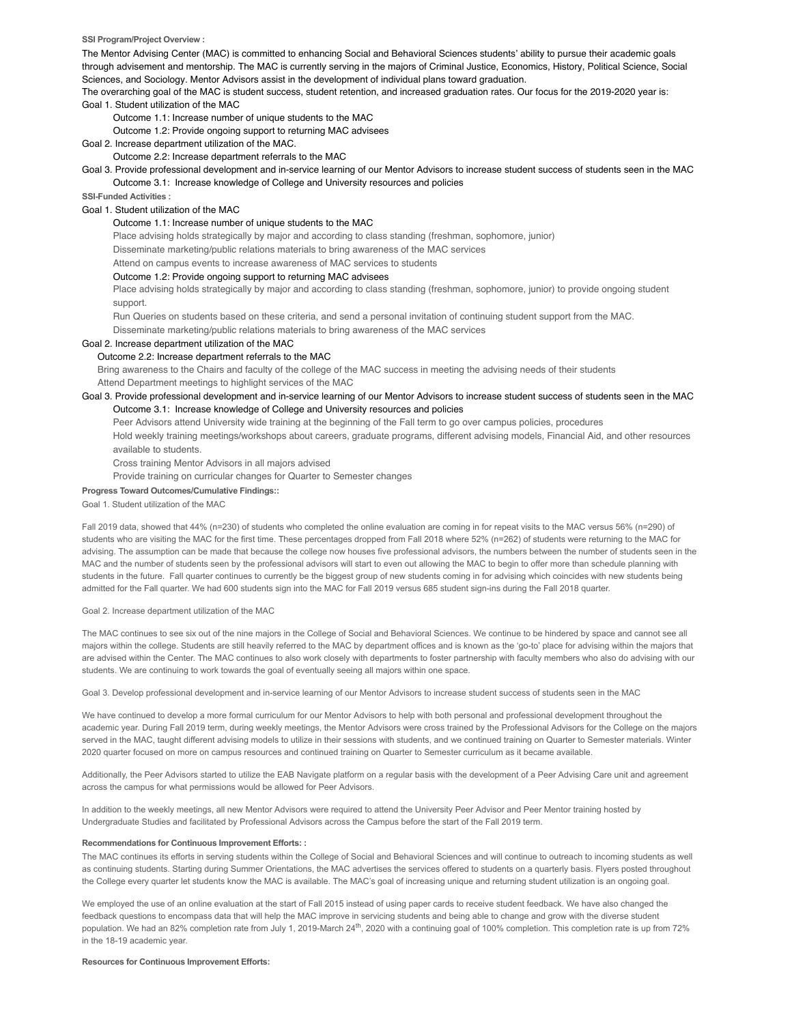#### **SSI Program/Project Overview :**

The Mentor Advising Center (MAC) is committed to enhancing Social and Behavioral Sciences students' ability to pursue their academic goals through advisement and mentorship. The MAC is currently serving in the majors of Criminal Justice, Economics, History, Political Science, Social Sciences, and Sociology. Mentor Advisors assist in the development of individual plans toward graduation.

The overarching goal of the MAC is student success, student retention, and increased graduation rates. Our focus for the 2019-2020 year is: Goal 1. Student utilization of the MAC

Outcome 1.1: Increase number of unique students to the MAC

Outcome 1.2: Provide ongoing support to returning MAC advisees

Goal 2. Increase department utilization of the MAC.

Outcome 2.2: Increase department referrals to the MAC

Goal 3. Provide professional development and in-service learning of our Mentor Advisors to increase student success of students seen in the MAC Outcome 3.1: Increase knowledge of College and University resources and policies

**SSI-Funded Activities :**

#### Goal 1. Student utilization of the MAC

#### Outcome 1.1: Increase number of unique students to the MAC

Place advising holds strategically by major and according to class standing (freshman, sophomore, junior)

Disseminate marketing/public relations materials to bring awareness of the MAC services

Attend on campus events to increase awareness of MAC services to students

## Outcome 1.2: Provide ongoing support to returning MAC advisees

Place advising holds strategically by major and according to class standing (freshman, sophomore, junior) to provide ongoing student support.

Run Queries on students based on these criteria, and send a personal invitation of continuing student support from the MAC.

Disseminate marketing/public relations materials to bring awareness of the MAC services

# Goal 2. Increase department utilization of the MAC

#### Outcome 2.2: Increase department referrals to the MAC

Bring awareness to the Chairs and faculty of the college of the MAC success in meeting the advising needs of their students Attend Department meetings to highlight services of the MAC

## Goal 3. Provide professional development and in-service learning of our Mentor Advisors to increase student success of students seen in the MAC Outcome 3.1: Increase knowledge of College and University resources and policies

Peer Advisors attend University wide training at the beginning of the Fall term to go over campus policies, procedures

Hold weekly training meetings/workshops about careers, graduate programs, different advising models, Financial Aid, and other resources available to students.

Cross training Mentor Advisors in all majors advised

Provide training on curricular changes for Quarter to Semester changes

**Progress Toward Outcomes/Cumulative Findings::**

Goal 1. Student utilization of the MAC

Fall 2019 data, showed that 44% (n=230) of students who completed the online evaluation are coming in for repeat visits to the MAC versus 56% (n=290) of students who are visiting the MAC for the first time. These percentages dropped from Fall 2018 where 52% (n=262) of students were returning to the MAC for advising. The assumption can be made that because the college now houses five professional advisors, the numbers between the number of students seen in the MAC and the number of students seen by the professional advisors will start to even out allowing the MAC to begin to offer more than schedule planning with students in the future. Fall quarter continues to currently be the biggest group of new students coming in for advising which coincides with new students being admitted for the Fall quarter. We had 600 students sign into the MAC for Fall 2019 versus 685 student sign-ins during the Fall 2018 quarter.

Goal 2. Increase department utilization of the MAC

The MAC continues to see six out of the nine majors in the College of Social and Behavioral Sciences. We continue to be hindered by space and cannot see all majors within the college. Students are still heavily referred to the MAC by department offices and is known as the 'go-to' place for advising within the majors that are advised within the Center. The MAC continues to also work closely with departments to foster partnership with faculty members who also do advising with our students. We are continuing to work towards the goal of eventually seeing all majors within one space.

Goal 3. Develop professional development and in-service learning of our Mentor Advisors to increase student success of students seen in the MAC

We have continued to develop a more formal curriculum for our Mentor Advisors to help with both personal and professional development throughout the academic year. During Fall 2019 term, during weekly meetings, the Mentor Advisors were cross trained by the Professional Advisors for the College on the majors served in the MAC, taught different advising models to utilize in their sessions with students, and we continued training on Quarter to Semester materials. Winter 2020 quarter focused on more on campus resources and continued training on Quarter to Semester curriculum as it became available.

Additionally, the Peer Advisors started to utilize the EAB Navigate platform on a regular basis with the development of a Peer Advising Care unit and agreement across the campus for what permissions would be allowed for Peer Advisors.

In addition to the weekly meetings, all new Mentor Advisors were required to attend the University Peer Advisor and Peer Mentor training hosted by Undergraduate Studies and facilitated by Professional Advisors across the Campus before the start of the Fall 2019 term.

#### **Recommendations for Continuous Improvement Efforts: :**

The MAC continues its efforts in serving students within the College of Social and Behavioral Sciences and will continue to outreach to incoming students as well as continuing students. Starting during Summer Orientations, the MAC advertises the services offered to students on a quarterly basis. Flyers posted throughout the College every quarter let students know the MAC is available. The MAC's goal of increasing unique and returning student utilization is an ongoing goal.

We employed the use of an online evaluation at the start of Fall 2015 instead of using paper cards to receive student feedback. We have also changed the feedback questions to encompass data that will help the MAC improve in servicing students and being able to change and grow with the diverse student population. We had an 82% completion rate from July 1, 2019-March 24<sup>th</sup>, 2020 with a continuing goal of 100% completion. This completion rate is up from 72% in the 18-19 academic year.

#### **Resources for Continuous Improvement Efforts:**